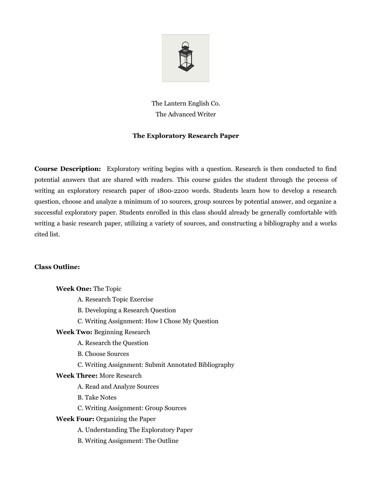

# The Lantern English Co. The Advanced Writer

## **The Exploratory Research Paper**

**Course Description:** Exploratory writing begins with a question. Research is then conducted to find potential answers that are shared with readers. This course guides the student through the process of writing an exploratory research paper of 1800-2200 words. Students learn how to develop a research question, choose and analyze a minimum of 10 sources, group sources by potential answer, and organize a successful exploratory paper. Students enrolled in this class should already be generally comfortable with writing a basic research paper, utilizing a variety of sources, and constructing a bibliography and a works cited list.

### **Class Outline:**

**Week One:** The Topic A. Research Topic Exercise B. Developing a Research Question C. Writing Assignment: How I Chose My Question **Week Two:** Beginning Research A. Research the Question B. Choose Sources C. Writing Assignment: Submit Annotated Bibliography **Week Three:** More Research A. Read and Analyze Sources B. Take Notes C. Writing Assignment: Group Sources **Week Four:** Organizing the Paper A. Understanding The Exploratory Paper B. Writing Assignment: The Outline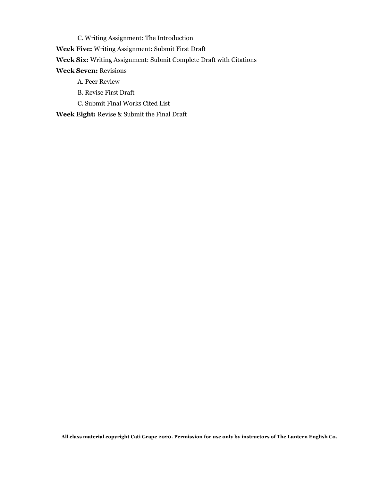C. Writing Assignment: The Introduction

**Week Five:** Writing Assignment: Submit First Draft

**Week Six:** Writing Assignment: Submit Complete Draft with Citations

**Week Seven:** Revisions

- A. Peer Review
- B. Revise First Draft
- C. Submit Final Works Cited List

**Week Eight:** Revise & Submit the Final Draft